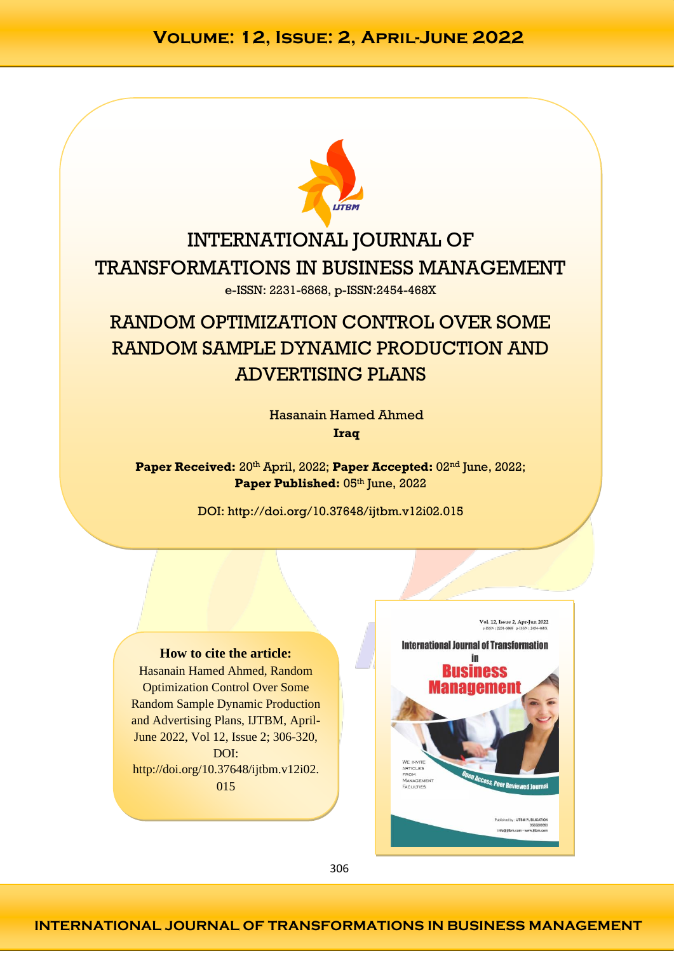

# INTERNATIONAL JOURNAL OF TRANSFORMATIONS IN BUSINESS MANAGEMENT e-ISSN: 2231-6868, p-ISSN:2454-468X

# RANDOM OPTIMIZATION CONTROL OVER SOME RANDOM SAMPLE DYNAMIC PRODUCTION AND ADVERTISING PLANS

Hasanain Hamed Ahmed **Iraq**

**Paper Received:** 20<sup>th</sup> April, 2022; Paper Accepted: 02<sup>nd</sup> June, 2022; Paper Published: 05th June, 2022

DOI: http://doi.org/10.37648/ijtbm.v12i02.015

### **How to cite the article:**

Hasanain Hamed Ahmed, Random Optimization Control Over Some Random Sample Dynamic Production and Advertising Plans, IJTBM, April-June 2022, Vol 12, Issue 2; 306-320, DOI: http://doi.org/10.37648/ijtbm.v12i02. 015

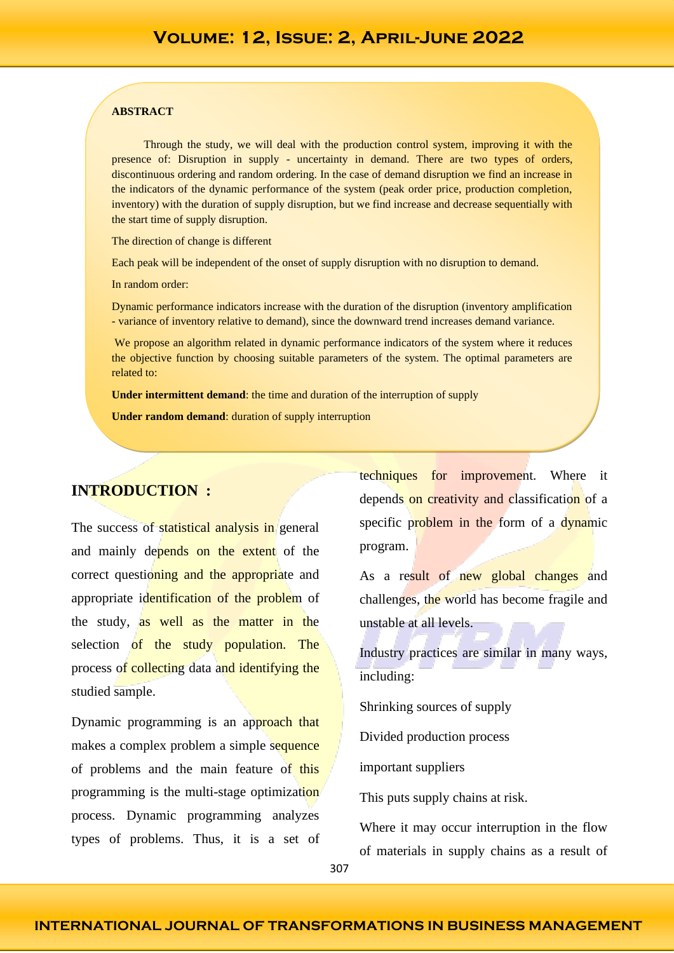#### **ABSTRACT**

Through the study, we will deal with the production control system, improving it with the presence of: Disruption in supply - uncertainty in demand. There are two types of orders, discontinuous ordering and random ordering. In the case of demand disruption we find an increase in the indicators of the dynamic performance of the system (peak order price, production completion, inventory) with the duration of supply disruption, but we find increase and decrease sequentially with the start time of supply disruption.

The direction of change is different

Each peak will be independent of the onset of supply disruption with no disruption to demand.

In random order:

Dynamic performance indicators increase with the duration of the disruption (inventory amplification - variance of inventory relative to demand), since the downward trend increases demand variance.

We propose an algorithm related in dynamic performance indicators of the system where it reduces the objective function by choosing suitable parameters of the system. The optimal parameters are related to:

**Under intermittent demand**: the time and duration of the interruption of supply

**Under random demand**: duration of supply interruption

### **INTRODUCTION :**

The success of statistical analysis in general and mainly depends on the extent of the correct questioning and the appropriate and appropriate identification of the problem of the study, as well as the matter in the selection of the study population. The process of collecting data and identifying the studied sample.

Dynamic programming is an approach that makes a complex problem a simple sequence of problems and the main feature of this programming is the multi-stage optimization process. Dynamic programming analyzes types of problems. Thus, it is a set of techniques for improvement. Where it depends on creativity and classification of a specific problem in the form of a dynamic program.

As a result of new global changes and challenges, the world has become fragile and unstable at all levels.

Industry practices are similar in many ways, including:

Shrinking sources of supply

Divided production process

important suppliers

This puts supply chains at risk.

Where it may occur interruption in the flow of materials in supply chains as a result of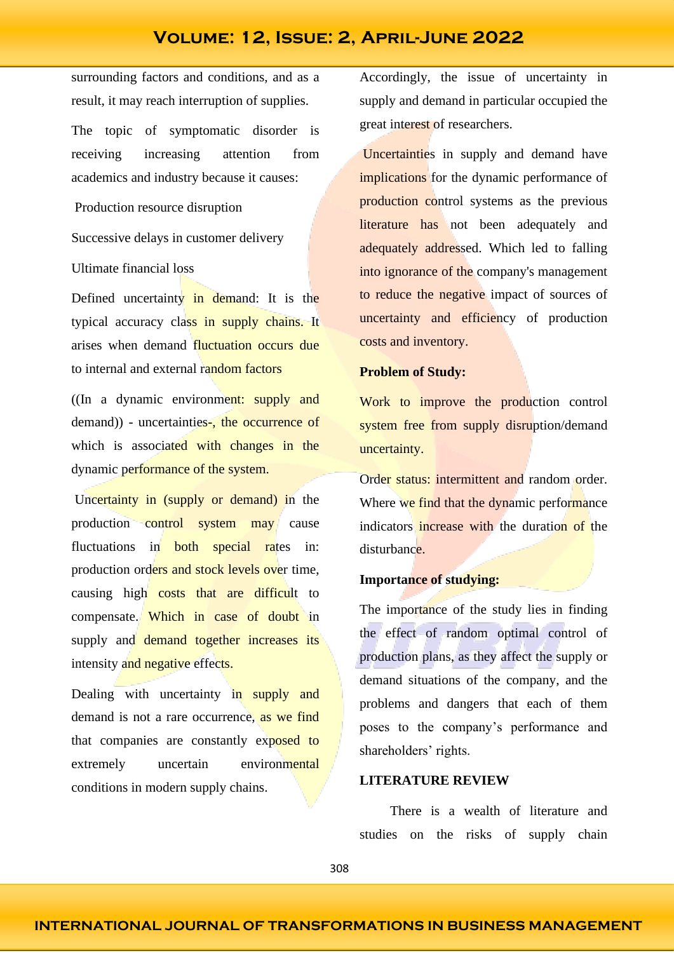surrounding factors and conditions, and as a result, it may reach interruption of supplies.

The topic of symptomatic disorder is receiving increasing attention from academics and industry because it causes:

Production resource disruption

Successive delays in customer delivery

Ultimate financial loss

Defined uncertainty in demand: It is the typical accuracy class in supply chains. It arises when demand fluctuation occurs due to internal and external random factors

((In a dynamic environment: supply and demand)) - uncertainties-, the occurrence of which is associated with changes in the dynamic performance of the system.

Uncertainty in (supply or demand) in the production control system may cause fluctuations in **both** special rates in: production orders and stock levels over time, causing high costs that are difficult to compensate. Which in case of doubt in supply and demand together increases its intensity and negative effects.

Dealing with uncertainty in supply and demand is not a rare occurrence, as we find that companies are constantly exposed to extremely uncertain environmental conditions in modern supply chains.

Accordingly, the issue of uncertainty in supply and demand in particular occupied the great interest of researchers.

Uncertainties in supply and demand have implications for the dynamic performance of production control systems as the previous literature has not been adequately and adequately addressed. Which led to falling into ignorance of the company's management to reduce the negative impact of sources of uncertainty and efficiency of production costs and inventory.

### **Problem of Study:**

Work to improve the production control system free from supply disruption/demand uncertainty.

Order status: intermittent and random order. Where we find that the dynamic performance indicators increase with the duration of the disturbance.

### **Importance of studying:**

The importance of the study lies in finding the effect of random optimal control of production plans, as they affect the supply or demand situations of the company, and the problems and dangers that each of them poses to the company's performance and shareholders' rights.

### **LITERATURE REVIEW**

There is a wealth of literature and studies on the risks of supply chain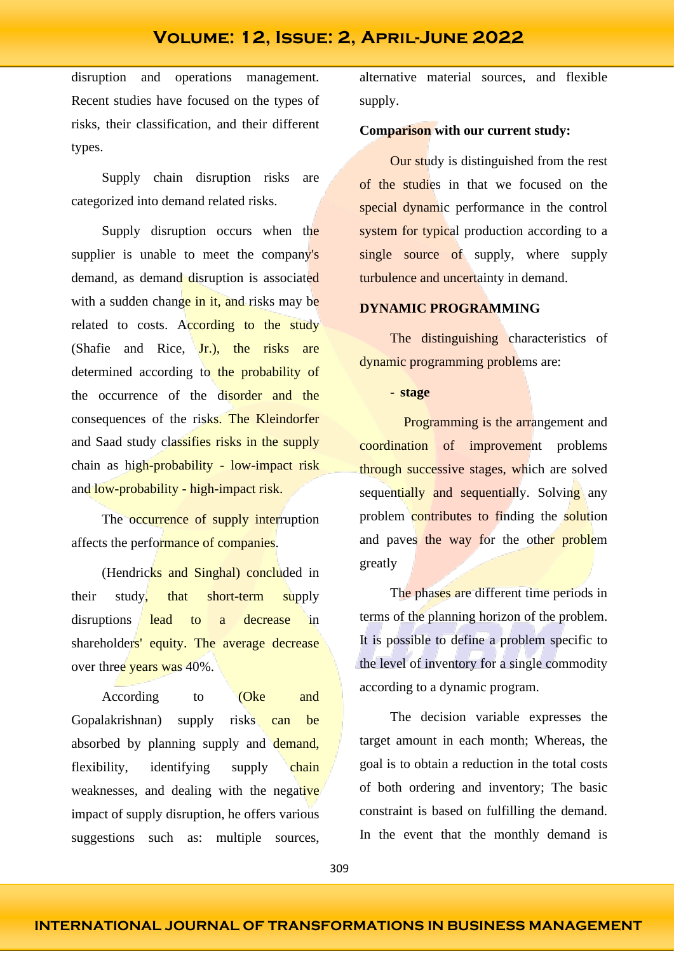disruption and operations management. Recent studies have focused on the types of risks, their classification, and their different types.

Supply chain disruption risks are categorized into demand related risks.

Supply disruption occurs when the supplier is unable to meet the company's demand, as demand disruption is associated with a sudden change in it, and risks may be related to costs. According to the study (Shafie and Rice, Jr.), the risks are determined according to the probability of the occurrence of the disorder and the consequences of the risks. The Kleindorfer and Saad study classifies risks in the supply chain as high-probability - low-impact risk and low-probability - high-impact risk.

The occurrence of supply interruption affects the performance of companies.

(Hendricks and Singhal) concluded in their study, that short-term supply disruptions lead to a decrease in shareholders' equity. The average decrease over three years was 40%.

According to **(Oke and** Gopalakrishnan) supply risks can be absorbed by planning supply and demand, flexibility, identifying supply chain weaknesses, and dealing with the negative impact of supply disruption, he offers various suggestions such as: multiple sources,

alternative material sources, and flexible supply.

#### **Comparison with our current study:**

Our study is distinguished from the rest of the studies in that we focused on the special dynamic performance in the control system for typical production according to a single source of supply, where supply turbulence and uncertainty in demand.

### **DYNAMIC PROGRAMMING**

The distinguishing characteristics of dynamic programming problems are:

- **stage**

Programming is the arrangement and coordination of improvement problems through successive stages, which are solved sequentially and sequentially. Solving any problem contributes to finding the solution and paves the way for the other problem greatly

The phases are different time periods in terms of the planning horizon of the problem. It is possible to define a problem specific to the level of inventory for a single commodity according to a dynamic program.

The decision variable expresses the target amount in each month; Whereas, the goal is to obtain a reduction in the total costs of both ordering and inventory; The basic constraint is based on fulfilling the demand. In the event that the monthly demand is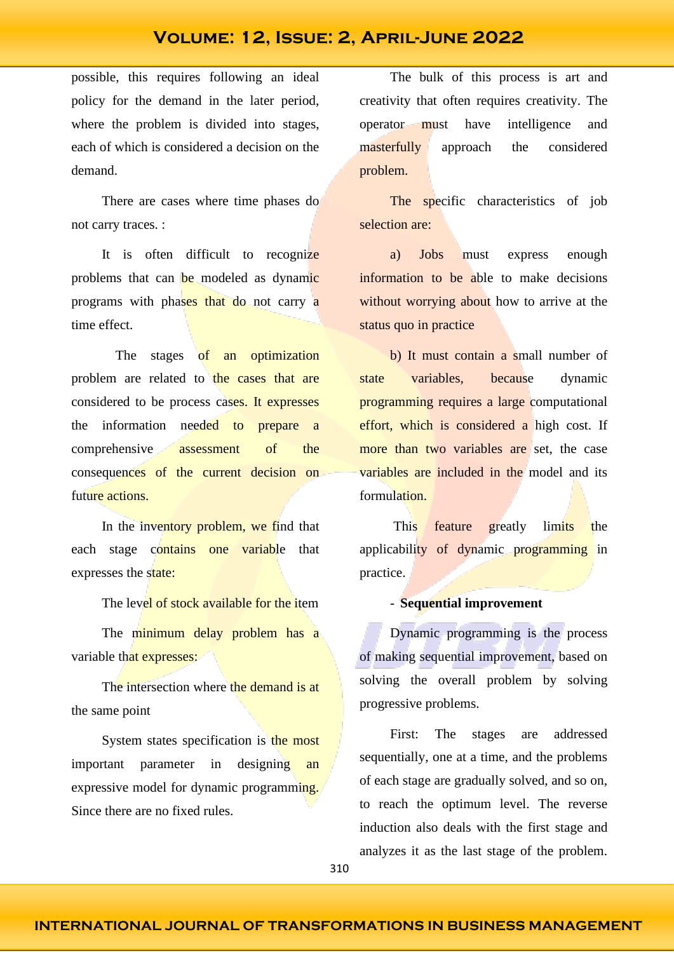possible, this requires following an ideal policy for the demand in the later period, where the problem is divided into stages, each of which is considered a decision on the demand.

There are cases where time phases do not carry traces. :

It is often difficult to recognize problems that can be modeled as dynamic programs with phases that do not carry a time effect.

The stages of an optimization problem are related to the cases that are considered to be process cases. It expresses the information needed to prepare a comprehensive assessment of the consequences of the current decision on future actions.

In the inventory problem, we find that each stage contains one variable that expresses the state:

The level of stock available for the item

The minimum delay problem has a variable that expresses:

The intersection where the demand is at the same point

System states specification is the most important parameter in designing an expressive model for dynamic programming. Since there are no fixed rules.

The bulk of this process is art and creativity that often requires creativity. The operator must have intelligence and masterfully approach the considered problem.

The specific characteristics of job selection are:

a) Jobs must express enough information to be able to make decisions without worrying about how to arrive at the status quo in practice

b) It must contain a small number of state variables, because dynamic programming requires a large computational effort, which is considered a high cost. If more than two variables are set, the case variables are included in the model and its formulation.

This feature greatly limits the applicability of dynamic programming in practice.

#### - **Sequential improvement**

Dynamic programming is the process of making sequential improvement, based on solving the overall problem by solving progressive problems.

First: The stages are addressed sequentially, one at a time, and the problems of each stage are gradually solved, and so on, to reach the optimum level. The reverse induction also deals with the first stage and analyzes it as the last stage of the problem.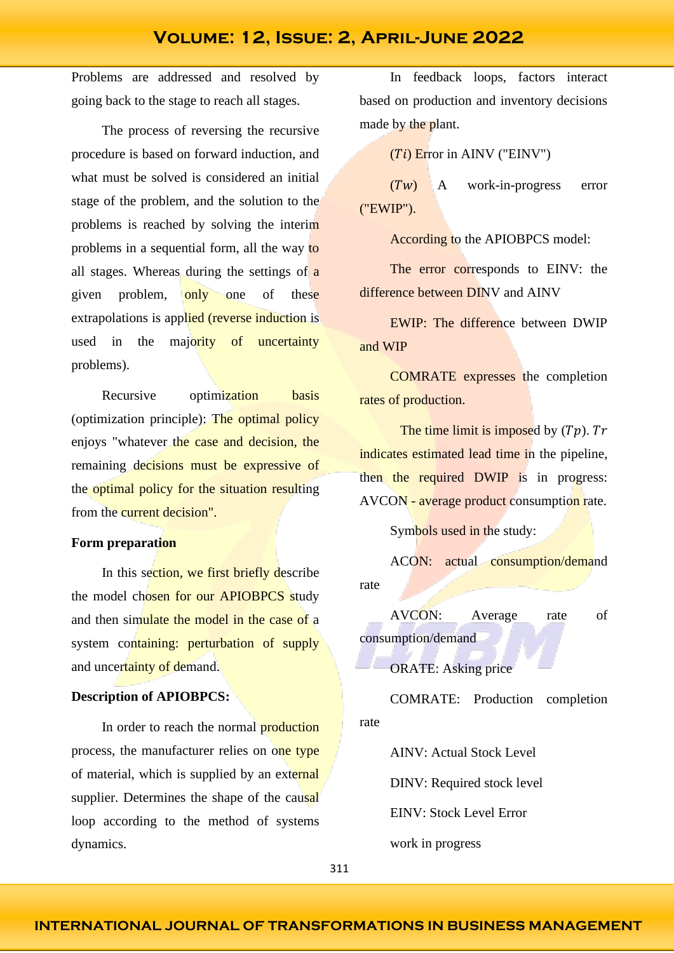Problems are addressed and resolved by going back to the stage to reach all stages.

The process of reversing the recursive procedure is based on forward induction, and what must be solved is considered an initial stage of the problem, and the solution to the problems is reached by solving the interim problems in a sequential form, all the way to all stages. Whereas during the settings of a given problem, only one of these extrapolations is applied (reverse induction is used in the majority of uncertainty problems).

Recursive optimization basis (optimization principle): The optimal policy enjoys "whatever the case and decision, the remaining decisions must be expressive of the optimal policy for the situation resulting from the current decision".

#### **Form preparation**

In this section, we first briefly describe the model chosen for our APIOBPCS study and then simulate the model in the case of a system containing: perturbation of supply and uncertainty of demand.

#### **Description of APIOBPCS:**

In order to reach the normal **production** process, the manufacturer relies on one type of material, which is supplied by an external supplier. Determines the shape of the causal loop according to the method of systems dynamics.

In feedback loops, factors interact based on production and inventory decisions made by the plant.

 $(Ti)$  Error in AINV ("EINV")

 $(Tw)$  A work-in-progress error ("EWIP").

According to the APIOBPCS model:

The error corresponds to EINV: the difference between DINV and AINV

EWIP: The difference between DWIP and WIP

COMRATE expresses the completion rates of production.

The time limit is imposed by  $(Tp)$ . Tr indicates estimated lead time in the pipeline, then the required DWIP is in progress: AVCON - average product consumption rate.

Symbols used in the study:

ACON: actual consumption/demand rate

AVCON: Average rate of consumption/demand

ORATE: Asking price

COMRATE: Production completion rate

AINV: Actual Stock Level

DINV: Required stock level

EINV: Stock Level Error

work in progress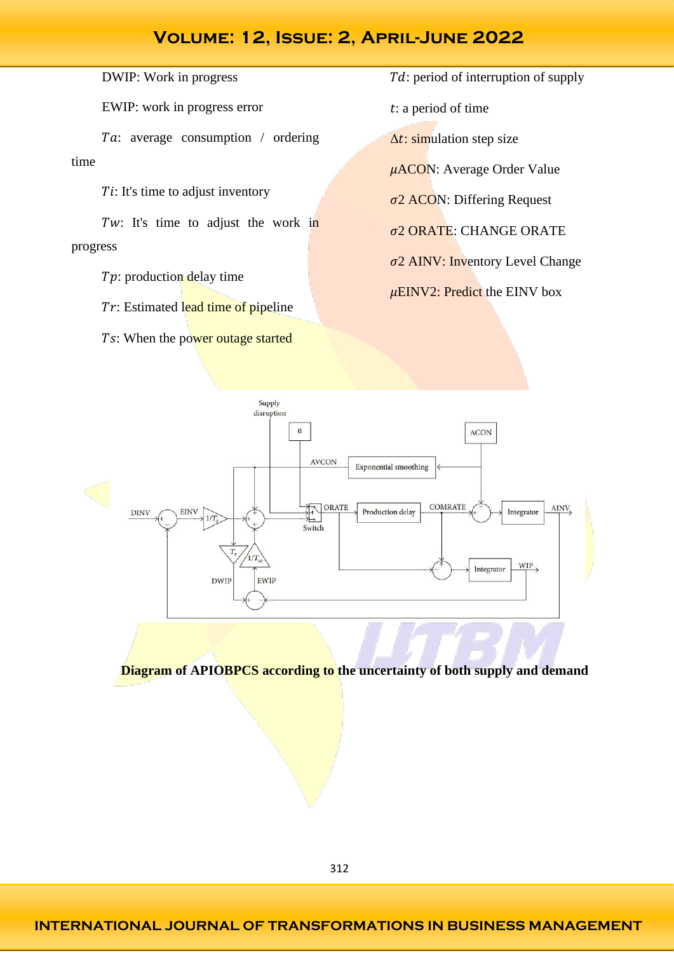DWIP: Work in progress

EWIP: work in progress error

Ta: average consumption / ordering time

 $Ti$ : It's time to adjust inventory

Tw: It's time to adjust the work in progress

- $Tp$ : production delay time
- $Tr$ : Estimated lead time of pipeline
- Ts: When the power outage started

Td: period of interruption of supply

: a period of time

 $\Delta t$ : simulation step size

 $\mu$ ACON: Average Order Value

 $\sigma$ 2 ACON: Differing Request

 $\sigma$ 2 ORATE: CHANGE ORATE

 $\sigma$ 2 AINV: Inventory Level Change

 $\mu$ EINV2: Predict the EINV box



**Diagram of APIOBPCS according to the uncertainty of both supply and demand**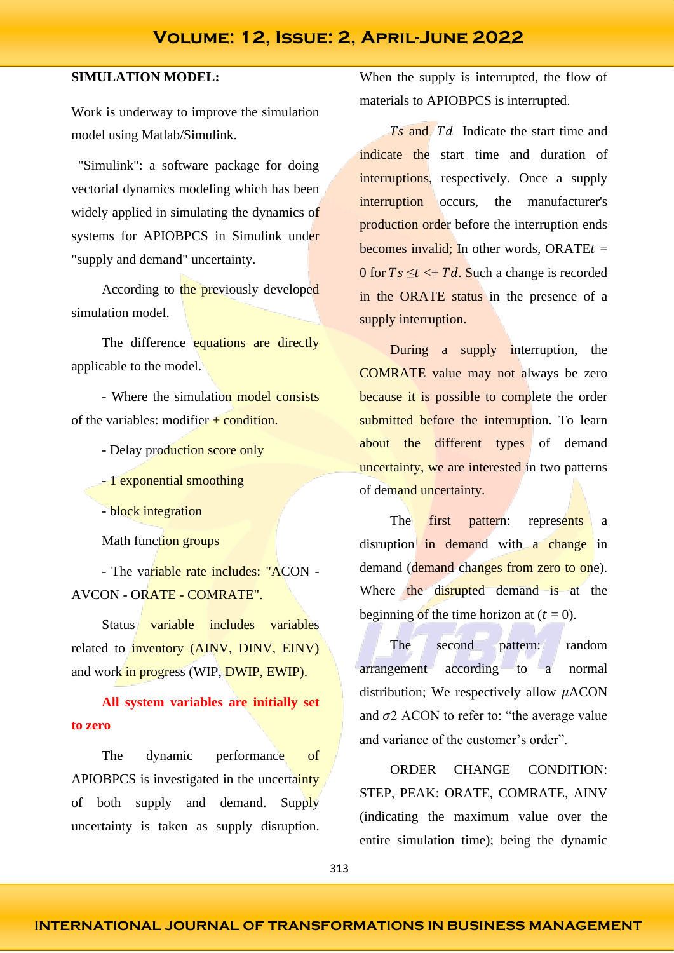### **SIMULATION MODEL:**

Work is underway to improve the simulation model using Matlab/Simulink.

 "Simulink": a software package for doing vectorial dynamics modeling which has been widely applied in simulating the dynamics of systems for APIOBPCS in Simulink under "supply and demand" uncertainty.

According to the previously developed simulation model.

The difference equations are directly applicable to the model.

- Where the simulation model consists of the variables: modifier  $+$  condition.

- Delay production score only
- 1 exponential smoothing
- block integration

Math function groups

- The variable rate includes: "ACON - AVCON - ORATE - COMRATE".

Status variable includes variables related to inventory (AINV, DINV, EINV) and work in progress (WIP, DWIP, EWIP).

### **All system variables are initially set to zero**

The dynamic performance of APIOBPCS is investigated in the uncertainty of both supply and demand. Supply uncertainty is taken as supply disruption.

When the supply is interrupted, the flow of materials to APIOBPCS is interrupted.

 $T_s$  and  $T_d$  Indicate the start time and indicate the start time and duration of interruptions, respectively. Once a supply interruption occurs, the manufacturer's production order before the interruption ends becomes invalid; In other words, ORATE $t =$ 0 for  $Ts \leq t \leq Td$ . Such a change is recorded in the ORATE status in the presence of a supply interruption.

During a supply interruption, the COMRATE value may not always be zero because it is possible to complete the order submitted before the interruption. To learn about the different types of demand uncertainty, we are interested in two patterns of demand uncertainty.

The first pattern: represents a disruption in demand with a change in demand (demand changes from zero to one). Where the disrupted demand is at the beginning of the time horizon at  $(t = 0)$ .

The second pattern: random arrangement according to a normal distribution; We respectively allow  $\mu$ ACON and  $\sigma$ 2 ACON to refer to: "the average value and variance of the customer's order".

ORDER CHANGE CONDITION: STEP, PEAK: ORATE, COMRATE, AINV (indicating the maximum value over the entire simulation time); being the dynamic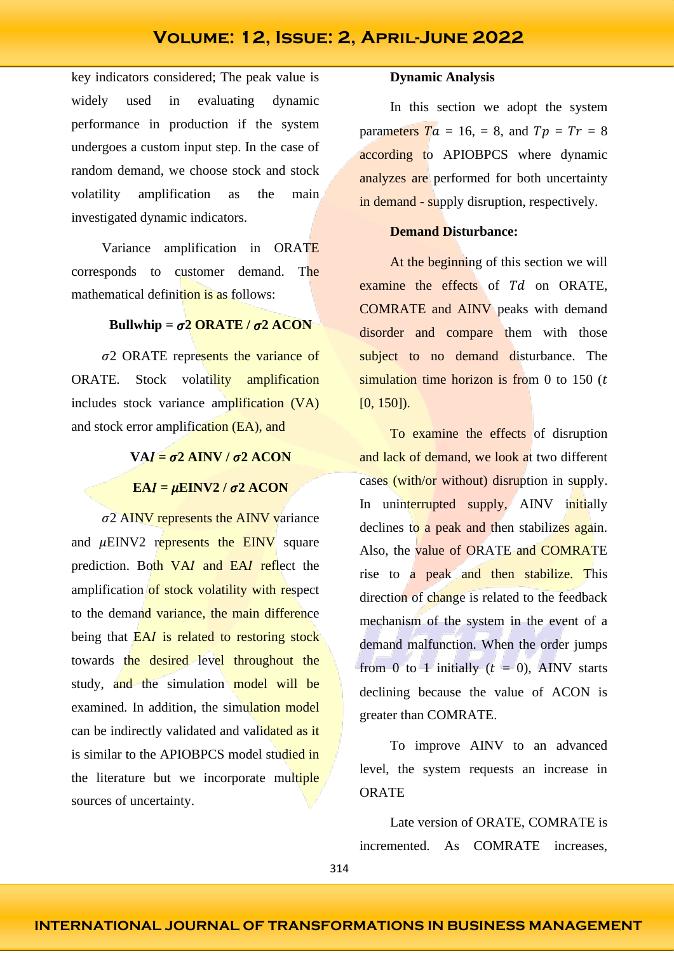key indicators considered; The peak value is widely used in evaluating dynamic performance in production if the system undergoes a custom input step. In the case of random demand, we choose stock and stock volatility amplification as the main investigated dynamic indicators.

Variance amplification in ORATE corresponds to customer demand. The mathematical definition is as follows:

#### **Bullwhip =**  $\sigma^2$  **ORATE /**  $\sigma^2$  **ACON**

 $\sigma$ 2 ORATE represents the variance of ORATE. Stock volatility amplification includes stock variance amplification (VA) and stock error amplification (EA), and

### $VAI = \sigma2$  AINV  $\sigma2$  ACON

#### $EAI = \mu EINV2 / \sigma 2 ACON$

 $\sigma$ 2 AINV represents the AINV variance and  $\mu$ EINV2 represents the EINV square prediction. Both VAI and EAI reflect the amplification of stock volatility with respect to the demand variance, the main difference being that  $E A I$  is related to restoring stock towards the desired level throughout the study, and the simulation model will be examined. In addition, the simulation model can be indirectly validated and validated as it is similar to the APIOBPCS model studied in the literature but we incorporate multiple sources of uncertainty.

#### **Dynamic Analysis**

In this section we adopt the system parameters  $Ta = 16$ ,  $= 8$ , and  $Tp = Tr = 8$ according to APIOBPCS where dynamic analyzes are performed for both uncertainty in demand - supply disruption, respectively.

### **Demand Disturbance:**

At the beginning of this section we will examine the effects of  $Td$  on ORATE, COMRATE and AINV peaks with demand disorder and compare them with those subject to no demand disturbance. The simulation time horizon is from 0 to 150  $(t)$ [0, 150]).

To examine the effects of disruption and lack of demand, we look at two different cases (with/or without) disruption in supply. In uninterrupted supply, AINV initially declines to a peak and then stabilizes again. Also, the value of ORATE and COMRATE rise to a peak and then stabilize. This direction of change is related to the feedback mechanism of the system in the event of a demand malfunction. When the order jumps from 0 to 1 initially  $(t = 0)$ , AINV starts declining because the value of ACON is greater than COMRATE.

To improve AINV to an advanced level, the system requests an increase in **ORATE** 

Late version of ORATE, COMRATE is incremented. As COMRATE increases,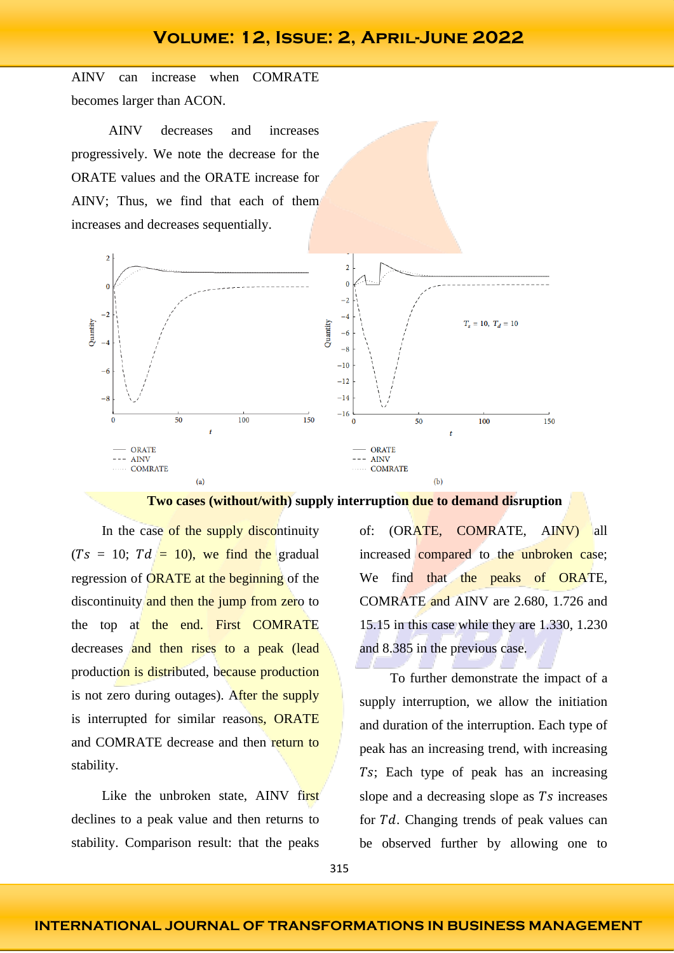AINV can increase when COMRATE becomes larger than ACON.

 AINV decreases and increases progressively. We note the decrease for the ORATE values and the ORATE increase for AINV; Thus, we find that each of them increases and decreases sequentially.





In the case of the supply discontinuity  $(Ts = 10; Td = 10)$ , we find the gradual regression of **ORATE** at the beginning of the discontinuity and then the jump from zero to the top at the end. First COMRATE decreases and then rises to a peak (lead production is distributed, because production is not zero during outages). After the supply is interrupted for similar reasons, ORATE and COMRATE decrease and then return to stability.

Like the unbroken state, AINV first declines to a peak value and then returns to stability. Comparison result: that the peaks

of: (ORATE, COMRATE, AINV) all increased compared to the unbroken case; We find that the peaks of ORATE, COMRATE and AINV are 2.680, 1.726 and 15.15 in this case while they are 1.330, 1.230 and 8.385 in the previous case.

To further demonstrate the impact of a supply interruption, we allow the initiation and duration of the interruption. Each type of peak has an increasing trend, with increasing Ts; Each type of peak has an increasing slope and a decreasing slope as  $Ts$  increases for  $Td$ . Changing trends of peak values can be observed further by allowing one to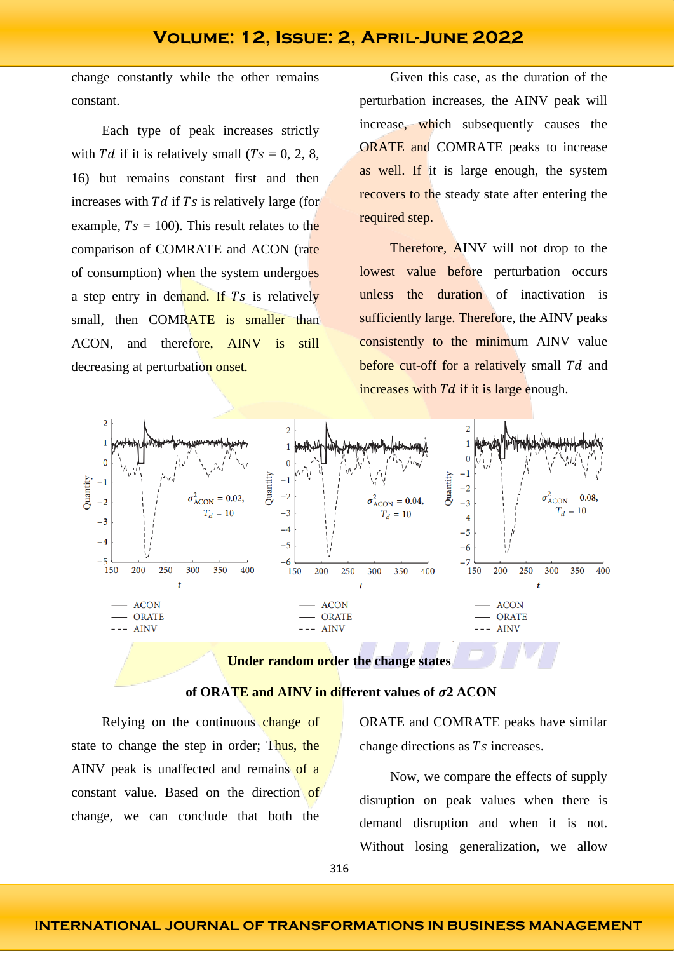change constantly while the other remains constant.

Each type of peak increases strictly with Td if it is relatively small ( $Ts = 0, 2, 8$ , 16) but remains constant first and then increases with  $Td$  if  $Ts$  is relatively large (for example,  $Ts = 100$ ). This result relates to the comparison of COMRATE and ACON (rate of consumption) when the system undergoes a step entry in demand. If  $Ts$  is relatively small, then COMRATE is smaller than ACON, and therefore, AINV is still decreasing at perturbation onset.

Given this case, as the duration of the perturbation increases, the AINV peak will increase, which subsequently causes the ORATE and COMRATE peaks to increase as well. If it is large enough, the system recovers to the steady state after entering the required step.

Therefore, AINV will not drop to the lowest value before perturbation occurs unless the duration of inactivation is sufficiently large. Therefore, the AINV peaks consistently to the minimum AINV value before cut-off for a relatively small  $Td$  and increases with  $Td$  if it is large enough.



**Under random order the change states**

### of ORATE and AINV in different values of  $\sigma$ 2 ACON

Relying on the continuous change of state to change the step in order; Thus, the AINV peak is unaffected and remains of a constant value. Based on the direction of change, we can conclude that both the ORATE and COMRATE peaks have similar change directions as  $Ts$  increases.

Now, we compare the effects of supply disruption on peak values when there is demand disruption and when it is not. Without losing generalization, we allow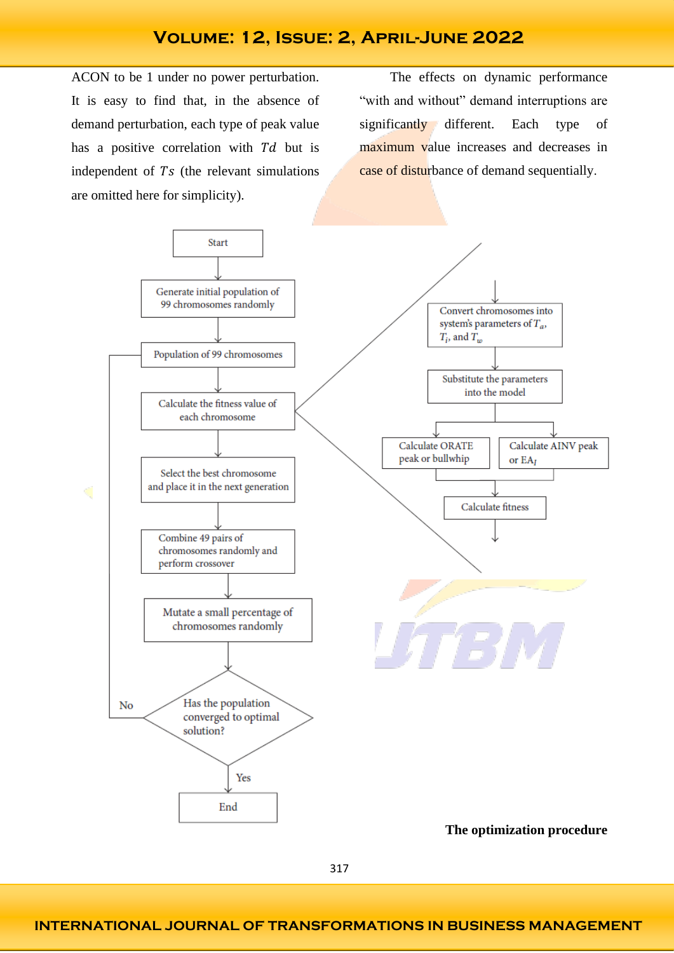ACON to be 1 under no power perturbation. It is easy to find that, in the absence of demand perturbation, each type of peak value has a positive correlation with  $Td$  but is independent of  $Ts$  (the relevant simulations are omitted here for simplicity).

The effects on dynamic performance "with and without" demand interruptions are significantly different. Each type of maximum value increases and decreases in case of disturbance of demand sequentially.

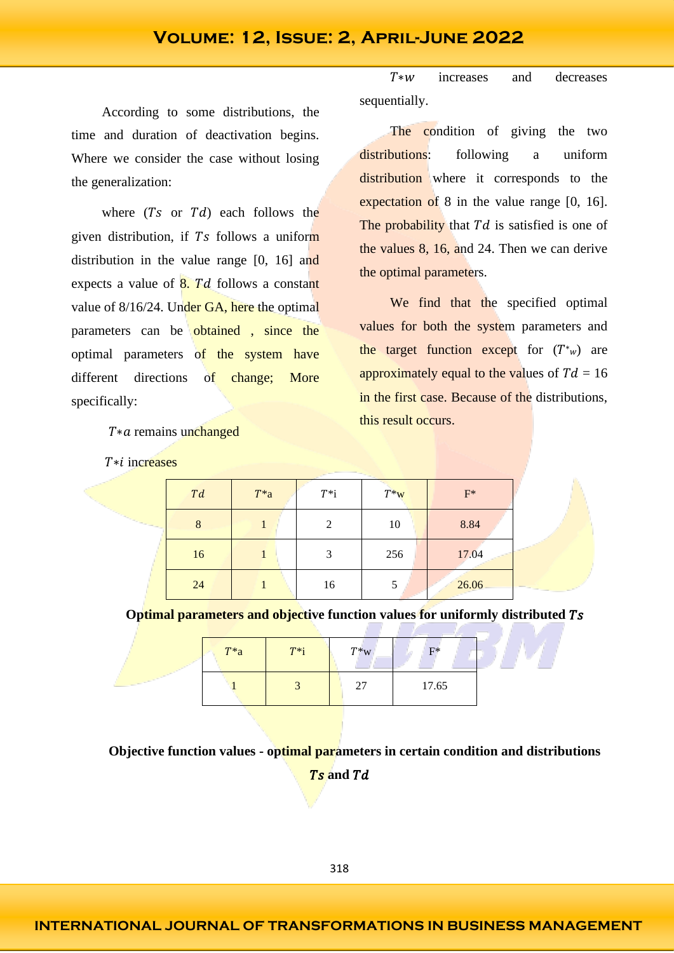According to some distributions, the time and duration of deactivation begins. Where we consider the case without losing the generalization:

where  $(Ts$  or  $Td$  each follows the given distribution, if Ts follows a uniform distribution in the value range [0, 16] and expects a value of  $8. Td$  follows a constant value of 8/16/24. Under GA, here the optimal parameters can be obtained, since the optimal parameters of the system have different directions of change; More specifically:

 $T * a$  remains unchanged

 $T * i$  increases

 $T*w$  increases and decreases sequentially.

The condition of giving the two distributions: following a uniform distribution where it corresponds to the expectation of 8 in the value range [0, 16]. The probability that  $Td$  is satisfied is one of the values 8, 16, and 24. Then we can derive the optimal parameters.

We find that the specified optimal values for both the system parameters and the target function except for  $(T^*w)$  are approximately equal to the values of  $Td = 16$ in the first case. Because of the distributions, this result occurs.

| T d | $T^*a$ | $T^*i$ | $T^*w$ | $F^*$ |
|-----|--------|--------|--------|-------|
| 8   |        | 2      | 10     | 8.84  |
| 16  |        | 3      | 256    | 17.04 |
| 24  |        | 16     |        | 26.06 |

**Optimal parameters and objective function values for uniformly distributed** 

| $T^*a$ | $T^*i$ | $T^*$ w     | $F^*$ |  |
|--------|--------|-------------|-------|--|
|        |        | 27<br>17.65 |       |  |

**Objective function values - optimal parameters in certain condition and distributions**   $\overline{Ts}$  and  $\overline{Td}$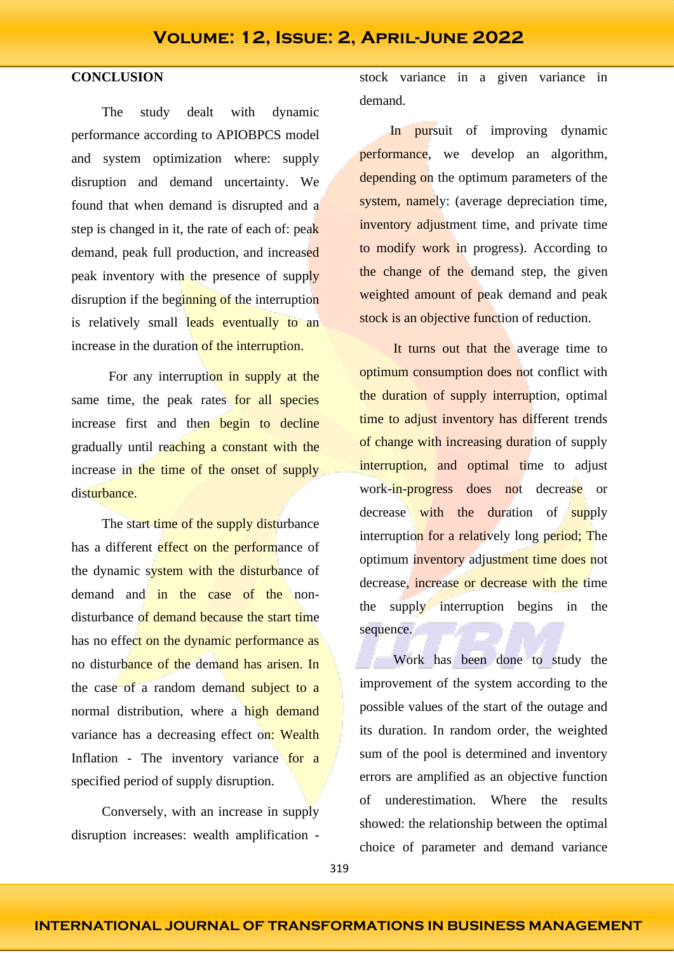### **CONCLUSION**

The study dealt with dynamic performance according to APIOBPCS model and system optimization where: supply disruption and demand uncertainty. We found that when demand is disrupted and a step is changed in it, the rate of each of: peak demand, peak full production, and increased peak inventory with the presence of supply disruption if the beginning of the interruption is relatively small leads eventually to an increase in the duration of the interruption.

For any interruption in supply at the same time, the peak rates for all species increase first and then begin to decline gradually until reaching a constant with the increase in the time of the onset of supply disturbance.

The start time of the supply disturbance has a different effect on the performance of the dynamic system with the disturbance of demand and in the case of the nondisturbance of demand because the start time has no effect on the dynamic performance as no disturbance of the demand has arisen. In the case of a random demand subject to a normal distribution, where a high demand variance has a decreasing effect on: Wealth Inflation - The inventory variance for a specified period of supply disruption.

Conversely, with an increase in supply disruption increases: wealth amplification - stock variance in a given variance in demand.

In pursuit of improving dynamic performance, we develop an algorithm, depending on the optimum parameters of the system, namely: (average depreciation time, inventory adjustment time, and private time to modify work in progress). According to the change of the demand step, the given weighted amount of peak demand and peak stock is an objective function of reduction.

It turns out that the average time to optimum consumption does not conflict with the duration of supply interruption, optimal time to adjust inventory has different trends of change with increasing duration of supply interruption, and optimal time to adjust work-in-progress does not decrease or decrease with the duration of supply interruption for a relatively long period; The optimum inventory adjustment time does not decrease, increase or decrease with the time the supply interruption begins in the sequence.

Work has been done to study the improvement of the system according to the possible values of the start of the outage and its duration. In random order, the weighted sum of the pool is determined and inventory errors are amplified as an objective function of underestimation. Where the results showed: the relationship between the optimal choice of parameter and demand variance